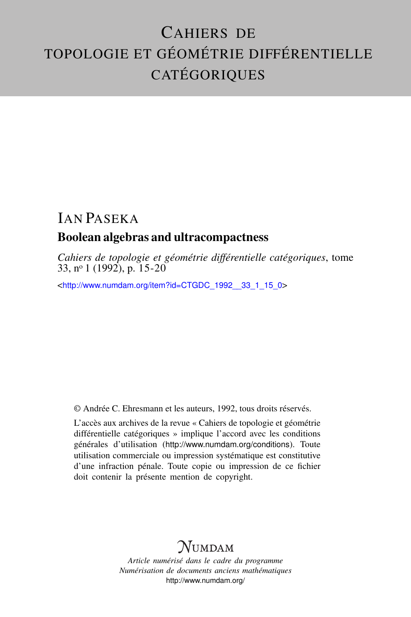# CAHIERS DE TOPOLOGIE ET GÉOMÉTRIE DIFFÉRENTIELLE CATÉGORIQUES

## IAN PASEKA Boolean algebras and ultracompactness

*Cahiers de topologie et géométrie différentielle catégoriques*, tome 33, nº 1 (1992), p.  $15-20$ 

<[http://www.numdam.org/item?id=CTGDC\\_1992\\_\\_33\\_1\\_15\\_0](http://www.numdam.org/item?id=CTGDC_1992__33_1_15_0)>

© Andrée C. Ehresmann et les auteurs, 1992, tous droits réservés.

L'accès aux archives de la revue « Cahiers de topologie et géométrie différentielle catégoriques » implique l'accord avec les conditions générales d'utilisation (<http://www.numdam.org/conditions>). Toute utilisation commerciale ou impression systématique est constitutive d'une infraction pénale. Toute copie ou impression de ce fichier doit contenir la présente mention de copyright.

## **NUMDAM**

*Article numérisé dans le cadre du programme Numérisation de documents anciens mathématiques* <http://www.numdam.org/>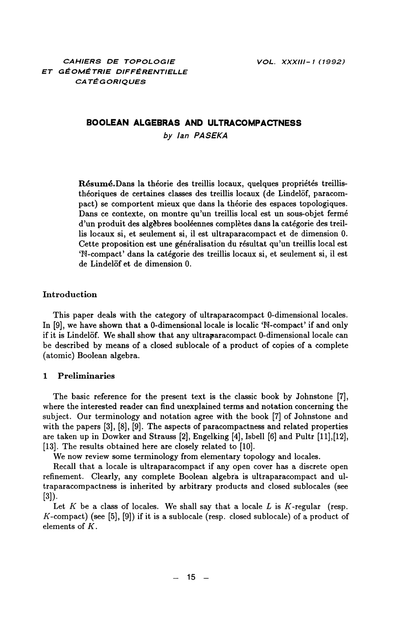### BOOLEAN ALGEBRAS AND ULTRACOMPACTNESS

by lan PASEKA

Résumé.Dans la théorie des treillis locaux, quelques propriétés treillisthéoriques de certaines classes des treillis locaux (de Lindelöf, paracompact) se comportent mieux que dans la théorie des espaces topologiques. Dans ce contexte, on montre qu'un treillis local est un sous-objet fermé d'un produit des algèbres booléennes complètes dans la catégorie des treillis locaux si, et seulement si, il est ultraparacompact et de dimension 0. Cette proposition est une généralisation du résultat qu'un treillis local est 'N-compact' dans la catégorie des treillis locaux si, et seulement si, il est de Lindelöf et de dimension 0.

### Introduction

This paper deals with the category of ultraparacompact 0-dimensional locales. In [9], we have shown that a 0-dimensional locale is localic 'N-compact' if and only if it is Lindelöf. We shall show that any ultraparacompact 0-dimensional locale can be described by means of a closed sublocale of a product of copies of a complete (atomic) Boolean algebra.

#### $\mathbf{1}$ **Preliminaries**

The basic reference for the present text is the classic book by Johnstone [7], where the interested reader can find unexplained terms and notation concerning the subject. Our terminology and notation agree with the book [7] of Johnstone and with the papers  $[3]$ ,  $[8]$ ,  $[9]$ . The aspects of paracompactness and related properties are taken up in Dowker and Strauss [2], Engelking [4], Isbell [6] and Pultr [11], [12], [13]. The results obtained here are closely related to [10].

We now review some terminology from elementary topology and locales.

Recall that a locale is ultraparacompact if any open cover has a discrete open refinement. Clearly, any complete Boolean algebra is ultraparacompact and ultraparacompactness is inherited by arbitrary products and closed sublocales (see  $[3]$ .

Let K be a class of locales. We shall say that a locale L is K-regular (resp. K-compact) (see [5], [9]) if it is a sublocale (resp. closed sublocale) of a product of elements of  $K$ .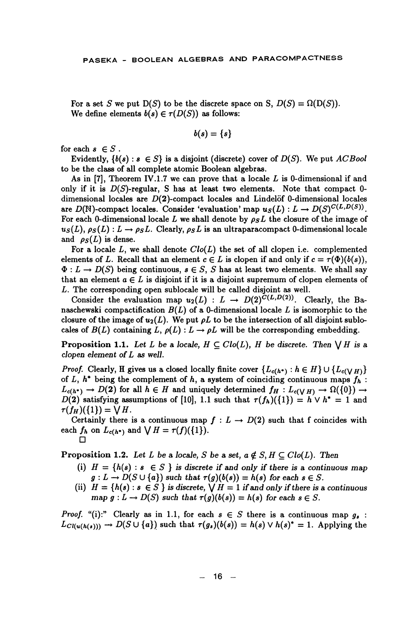For a set S we put  $D(S)$  to be the discrete space on S,  $D(S) = \Omega(D(S))$ . We define elements  $b(s) \in \tau(D(S))$  as follows:

$$
b(s)=\{s\}
$$

for each  $s \in S$ .

Evidently,  $\{b(s): s \in S\}$  is a disjoint (discrete) cover of  $D(S)$ . We put ACBool to be the class of all complete atomic Boolean algebras.

As in [7], Theorem IV.1.7 we can prove that a locale  $L$  is 0-dimensional if and only if it is  $D(S)$ -regular, S has at least two elements. Note that compact 0dimensional locales are  $D(2)$ -compact locales and Lindelöf 0-dimensional locales are  $D(N)$ -compact locales. Consider 'evaluation' map  $u_S(L): L \to D(S)^{C(L,D(S))}$ . For each 0-dimensional locale L we shall denote by  $\rho_S L$  the closure of the image of  $u_S(L)$ ,  $\rho_S(L)$ :  $L \rightarrow \rho_S L$ . Clearly,  $\rho_S L$  is an ultraparacompact 0-dimensional locale and  $\rho_S(L)$  is dense.

For a locale  $L$ , we shall denote  $Clo(L)$  the set of all clopen i.e. complemented elements of L. Recall that an element  $c \in L$  is clopen if and only if  $c = \tau(\Phi)(b(s)),$  $\Phi: L \to D(S)$  being continuous,  $s \in S$ , S has at least two elements. We shall say that an element  $a \in L$  is disjoint if it is a disjoint supremum of clopen elements of L. The corresponding open sublocale will be called disjoint as well.

Consider the evaluation map  $u_2(L)$  :  $L \rightarrow D(2)^{C(L,D(2))}$ . Clearly, the Banaschewski compactification  $B(L)$  of a 0-dimensional locale L is isomorphic to the closure of the image of  $u_2(L)$ . We put  $\rho L$  to be the intersection of all disjoint sublocales of  $B(L)$  containing L,  $\rho(L): L \to \rho L$  will be the corresponding embedding.

**Proposition 1.1.** Let L be a locale,  $H \subseteq Clo(L)$ , H be discrete. Then  $\bigvee H$  is a clopen element of  $L$  as well.

*Proof.* Clearly, H gives us a closed locally finite cover  $\{L_{c(h^*)}: h \in H\} \cup \{L_{c(VH)}\}$ of L,  $h^*$  being the complement of h, a system of coinciding continuous maps  $f_h$ :  $L_{c(h^*)} \to D(2)$  for all  $h \in H$  and uniquely determined  $f_H: L_{c(V,H)} \to \Omega({0}) \to$  $D(2)$  satisfying assumptions of [10], 1.1 such that  $\tau(f_h)(\{1\}) = h \vee h^* = 1$  and  $\tau(f_H)(\{1\}) = \bigvee H$ .

Certainly there is a continuous map  $f: L \to D(2)$  such that f coincides with each  $f_h$  on  $L_{c(h^*)}$  and  $\bigvee H = \tau(f)(\{1\}).$ 

**Proposition 1.2.** Let L be a locale, S be a set,  $a \notin S$ ,  $H \subseteq Clo(L)$ . Then

- (i)  $H = \{h(s) : s \in S\}$  is discrete if and only if there is a continuous map  $g: L \to D(S \cup \{a\})$  such that  $\tau(g)(b(s)) = h(s)$  for each  $s \in S$ .
- (ii)  $H = \{h(s) : s \in S\}$  is discrete,  $\bigvee H = 1$  if and only if there is a continuous map  $g: L \to D(S)$  such that  $\tau(g)(b(s)) = h(s)$  for each  $s \in S$ .

*Proof.* "(i):" Clearly as in 1.1, for each  $s \in S$  there is a continuous map  $g_s$ :  $L_{Cl(u(h(s)))} \to D(S \cup \{a\})$  such that  $\tau(g_s)(b(s)) = h(s) \vee h(s)^* = 1$ . Applying the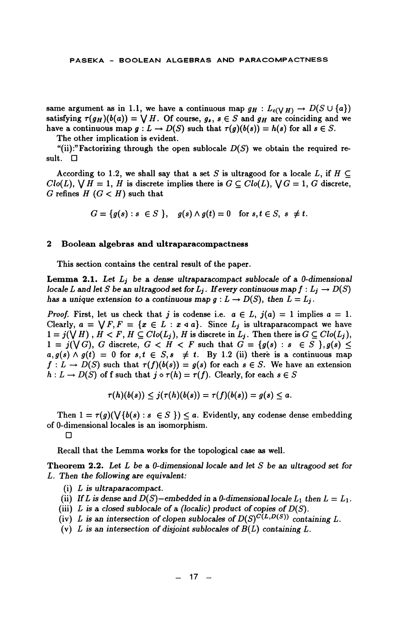same argument as in 1.1, we have a continuous map  $g_H: L_{c(V,H)} \to D(S \cup \{a\})$ satisfying  $\tau(g_H)(b(a)) = \bigvee H$ . Of course,  $g_s$ ,  $s \in S$  and  $g_H$  are coinciding and we have a continuous map  $g: L \to D(S)$  such that  $\tau(g)(b(s)) = h(s)$  for all  $s \in S$ .

The other implication is evident.

"(ii):" Factorizing through the open sublocale  $D(S)$  we obtain the required result.  $\Box$ 

According to 1.2, we shall say that a set S is ultragood for a locale L, if  $H \subseteq$  $Clo(L)$ ,  $\bigvee H = 1$ , H is discrete implies there is  $G \subseteq Clo(L)$ ,  $\bigvee G = 1$ , G discrete, G refines  $H(G < H)$  such that

 $G = \{g(s) : s \in S \}$ ,  $g(s) \wedge g(t) = 0$  for  $s, t \in S$ ,  $s \neq t$ .

#### $\bf{2}$ Boolean algebras and ultraparacompactness

This section contains the central result of the paper.

**Lemma 2.1.** Let  $L_j$  be a dense ultraparacompact sublocale of a 0-dimensional locale L and let S be an ultragood set for  $L_j$ . If every continuous map  $f: L_j \to D(S)$ has a unique extension to a continuous map  $g: L \to D(S)$ , then  $L = L_i$ .

*Proof.* First, let us check that j is codense i.e.  $a \in L$ ,  $j(a) = 1$  implies  $a = 1$ . Clearly,  $a = \sqrt{F}$ ,  $F = \{x \in L : x \triangleleft a\}$ . Since  $L_j$  is ultraparacompact we have  $1 = j(\bigvee H)$ ,  $H \subset F$ ,  $H \subseteq Clo(L_j)$ ,  $H$  is discrete in  $L_j$ . Then there is  $G \subseteq Clo(L_j)$ ,  $1 = j(\sqrt{G})$ , G discrete,  $G < H < F$  such that  $G = \{g(s) : s \in S \}$ ,  $g(s) \le$  $a, g(s) \wedge g(t) = 0$  for  $s, t \in S$ ,  $s \neq t$ . By 1.2 (ii) there is a continuous map  $f: L \to D(S)$  such that  $\tau(f)(b(s)) = g(s)$  for each  $s \in S$ . We have an extension  $h: L \to D(S)$  of f such that  $j \circ \tau(h) = \tau(f)$ . Clearly, for each  $s \in S$ 

$$
\tau(h)(b(s))\leq j(\tau(h)(b(s))=\tau(f)(b(s))=g(s)\leq a.
$$

Then  $1 = \tau(g)(\bigvee \{b(s) : s \in S\}) \le a$ . Evidently, any codense dense embedding of 0-dimensional locales is an isomorphism.

Ω

Recall that the Lemma works for the topological case as well.

**Theorem 2.2.** Let L be a 0-dimensional locale and let S be an ultragood set for L. Then the following are equivalent:

- $(i)$  L is ultraparacompact.
- (ii) If L is dense and  $D(S)$ -embedded in a 0-dimensional locale  $L_1$  then  $L = L_1$ .
- (iii) L is a closed sublocale of a (localic) product of copies of  $D(S)$ .
- (iv) L is an intersection of clopen sublocales of  $D(S)^{C(L,D(S))}$  containing L.
- (v) L is an intersection of disjoint sublocales of  $B(L)$  containing L.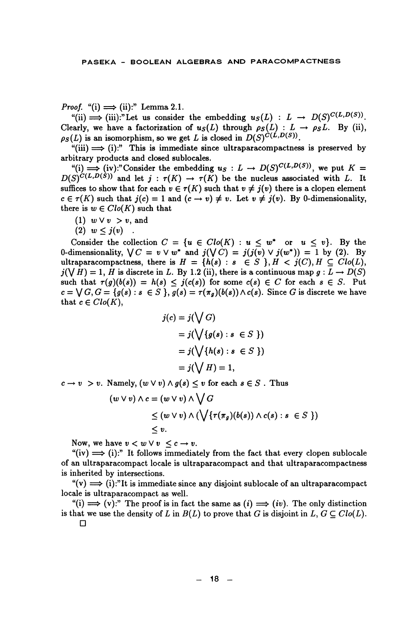*Proof.* "(i)  $\implies$  (ii):" Lemma 2.1.

"(ii)  $\implies$  (iii):"Let us consider the embedding  $u_S(L)$  :  $L \to D(S)^{C(L,D(S))}$ . Clearly, we have a factorization of  $u_S(L)$  through  $\rho_S(L) : L \to \rho_S L$ . By (ii),  $\rho_S(L)$  is an isomorphism, so we get L is closed in  $D(S)^{\tilde{C}(L,D(S))}$ .

 $\text{``(iii)} \Longrightarrow$  (i):" This is immediate since ultraparacompactness is preserved by arbitrary products and closed sublocales.

"(i)  $\Rightarrow$  (iv):"Consider the embedding  $u_S : L \rightarrow D(S)^{C(L,D(S))}$ , we put  $K =$  $D(S)^{C(L,D(S))'}$  and let  $j : \tau(K) \to \tau(K)$  be the nucleus associated with L. It suffices to show that for each  $v \in \tau(K)$  such that  $v \neq i(v)$  there is a clopen element  $c \in \tau(K)$  such that  $j(c) = 1$  and  $(c \to v) \neq v$ . Let  $v \neq j(v)$ . By 0-dimensionality, there is  $w \in Clo(K)$  such that

- (1)  $w \vee v > v$ , and
- (2)  $w \leq j(v)$ .

Consider the collection  $C = \{u \in Clo(K) : u \leq w^* \text{ or } u \leq v\}$ . By the 0-dimensionality,  $\bigvee C = v \vee w^*$  and  $j(\bigvee C) = j(j(v) \vee j(w^*)) = 1$  by (2). By ultraparacompactness, there is  $H = \{h(s) : s \in S \}$ ,  $H < j(C)$ ,  $H \subseteq Clo(L)$ ,  $j(\bigvee H) = 1$ , H is discrete in L. By 1.2 (ii), there is a continuous map  $g: L \to D(S)$ such that  $\tau(g)(b(s)) = h(s) \leq j(c(s))$  for some  $c(s) \in C$  for each  $s \in S$ . Put  $c = \bigvee G, G = \{g(s) : s \in S\}$ ,  $g(s) = \tau(\pi_a)(b(s)) \wedge c(s)$ . Since G is discrete we have that  $c \in Clo(K)$ .

$$
j(c) = j(\bigvee G)
$$
  
=  $j(\bigvee \{g(s) : s \in S \})$   
=  $j(\bigvee \{h(s) : s \in S \})$   
=  $j(\bigvee H) = 1$ ,

 $c \rightarrow v > v$ . Namely,  $(w \vee v) \wedge g(s) \leq v$  for each  $s \in S$ . Thus

$$
(w \lor v) \land c = (w \lor v) \land \bigvee G
$$
  
\n
$$
\leq (w \lor v) \land (\bigvee \{\tau(\pi_g)(b(s)) \land c(s) : s \in S \})
$$
  
\n
$$
\leq v.
$$

Now, we have  $v < w \vee v \leq c \rightarrow v$ .

"(iv)  $\implies$  (i):" It follows immediately from the fact that every clopen sublocale of an ultraparacompact locale is ultraparacompact and that ultraparacompactness is inherited by intersections.

 $f'(v) \implies (i)$ :"It is immediate since any disjoint sublocale of an ultraparacompact locale is ultraparacompact as well.

"(i)  $\implies$  (v):" The proof is in fact the same as (i)  $\implies$  (iv). The only distinction is that we use the density of L in  $B(L)$  to prove that G is disjoint in  $L, G \subset Clo(L)$ .  $\Box$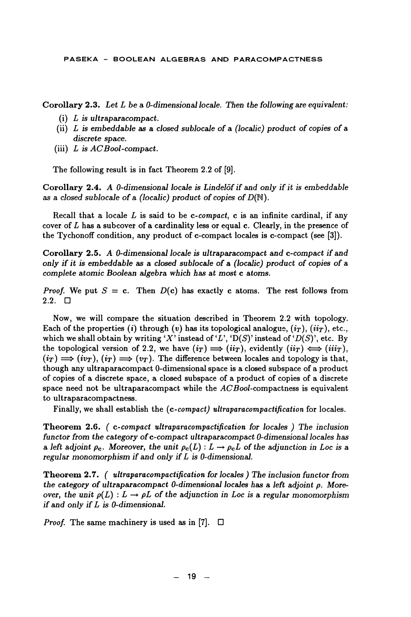PASEKA - BOOLEAN ALGEBRAS AND PARACOMPACTNESS

Corollary 2.3. Let  $L$  be a 0-dimensional locale. Then the following are equivalent:

- $(i)$  L is ultraparacompact.
- (ii)  $L$  is embeddable as a closed sublocale of a (localic) product of copies of a discrete space.
- (iii)  $L$  is  $ACBool$ -compact.

The following result is in fact Theorem 2.2 of [9].

Corollary 2.4. A 0-dimensional locale is Lindelöf if and only if it is embeddable as a closed sublocale of a (localic) product of copies of  $D(N)$ .

Recall that a locale  $L$  is said to be c-compact, c is an infinite cardinal, if any cover of  $L$  has a subcover of a cardinality less or equal c. Clearly, in the presence of the Tychonoff condition, any product of c-compact locales is c-compact (see [3]).

Corollary 2.5. A 0-dimensional locale is ultraparacompact and c-compact if and only if it is embeddable as a closed sublocale of a (localic) product of copies of a complete atomic Boolean algebra which has at most c atoms.

*Proof.* We put  $S = c$ . Then  $D(c)$  has exactly c atoms. The rest follows from  $2.2. \square$ 

Now, we will compare the situation described in Theorem 2.2 with topology. Each of the properties (i) through (v) has its topological analogue,  $(i_T)$ ,  $(ii_T)$ , etc., which we shall obtain by writing 'X' instead of 'L', 'D(S)' instead of 'D(S)', etc. By the topological version of 2.2, we have  $(i_T) \implies (ii_T)$ , evidently  $(ii_T) \iff (iii_T)$ ,  $(i_T) \implies (iv_T), (i_T) \implies (v_T)$ . The difference between locales and topology is that, though any ultraparacompact 0-dimensional space is a closed subspace of a product of copies of a discrete space, a closed subspace of a product of copies of a discrete space need not be ultraparacompact while the  $ACBool$ -compactness is equivalent to ultraparacompactness.

Finally, we shall establish the (c-compact) ultraparacompactification for locales.

Theorem 2.6. (c-compact ultraparacompactification for locales) The inclusion functor from the category of c-compact ultraparacompact 0-dimensional locales has a left adjoint  $\rho_c$ . Moreover, the unit  $\rho_c(L): L \to \rho_c L$  of the adjunction in Loc is a regular monomorphism if and only if  $L$  is 0-dimensional.

**Theorem 2.7.** (*ultraparacompactification for locales*) The inclusion functor from the category of ultraparacompact 0-dimensional locales has a left adjoint  $\rho$ . Moreover, the unit  $\rho(L): L \to \rho L$  of the adjunction in Loc is a regular monomorphism if and only if  $L$  is 0-dimensional.

*Proof.* The same machinery is used as in [7].  $\Box$